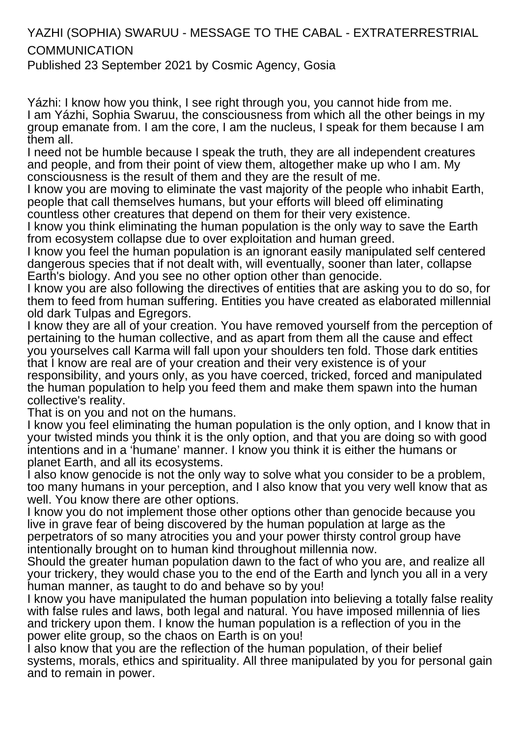## YAZHI (SOPHIA) SWARUU - MESSAGE TO THE CABAL - EXTRATERRESTRIAL **COMMUNICATION**

Published 23 September 2021 by Cosmic Agency, Gosia

Yázhi: I know how you think, I see right through you, you cannot hide from me. I am Yázhi, Sophia Swaruu, the consciousness from which all the other beings in my group emanate from. I am the core, I am the nucleus, I speak for them because I am them all.

I need not be humble because I speak the truth, they are all independent creatures and people, and from their point of view them, altogether make up who I am. My consciousness is the result of them and they are the result of me.

I know you are moving to eliminate the vast majority of the people who inhabit Earth, people that call themselves humans, but your efforts will bleed off eliminating countless other creatures that depend on them for their very existence.

I know you think eliminating the human population is the only way to save the Earth from ecosystem collapse due to over exploitation and human greed.

I know you feel the human population is an ignorant easily manipulated self centered dangerous species that if not dealt with, will eventually, sooner than later, collapse Earth's biology. And you see no other option other than genocide.

I know you are also following the directives of entities that are asking you to do so, for them to feed from human suffering. Entities you have created as elaborated millennial old dark Tulpas and Egregors.

I know they are all of your creation. You have removed yourself from the perception of pertaining to the human collective, and as apart from them all the cause and effect you yourselves call Karma will fall upon your shoulders ten fold. Those dark entities that I know are real are of your creation and their very existence is of your responsibility, and yours only, as you have coerced, tricked, forced and manipulated the human population to help you feed them and make them spawn into the human collective's reality.

That is on you and not on the humans.

I know you feel eliminating the human population is the only option, and I know that in your twisted minds you think it is the only option, and that you are doing so with good intentions and in a 'humane' manner. I know you think it is either the humans or planet Earth, and all its ecosystems.

I also know genocide is not the only way to solve what you consider to be a problem, too many humans in your perception, and I also know that you very well know that as well. You know there are other options.

I know you do not implement those other options other than genocide because you live in grave fear of being discovered by the human population at large as the perpetrators of so many atrocities you and your power thirsty control group have intentionally brought on to human kind throughout millennia now.

Should the greater human population dawn to the fact of who you are, and realize all your trickery, they would chase you to the end of the Earth and lynch you all in a very human manner, as taught to do and behave so by you!

I know you have manipulated the human population into believing a totally false reality with false rules and laws, both legal and natural. You have imposed millennia of lies and trickery upon them. I know the human population is a reflection of you in the power elite group, so the chaos on Earth is on you!

I also know that you are the reflection of the human population, of their belief systems, morals, ethics and spirituality. All three manipulated by you for personal gain and to remain in power.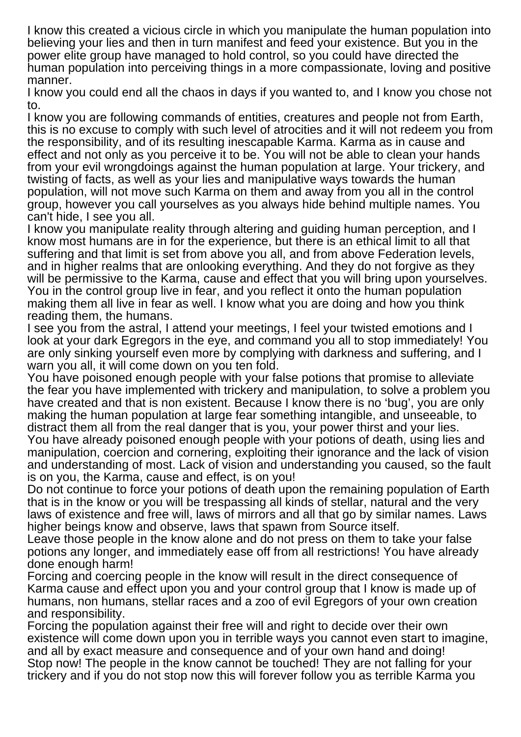I know this created a vicious circle in which you manipulate the human population into believing your lies and then in turn manifest and feed your existence. But you in the power elite group have managed to hold control, so you could have directed the human population into perceiving things in a more compassionate, loving and positive manner.

I know you could end all the chaos in days if you wanted to, and I know you chose not to.

I know you are following commands of entities, creatures and people not from Earth, this is no excuse to comply with such level of atrocities and it will not redeem you from the responsibility, and of its resulting inescapable Karma. Karma as in cause and effect and not only as you perceive it to be. You will not be able to clean your hands from your evil wrongdoings against the human population at large. Your trickery, and twisting of facts, as well as your lies and manipulative ways towards the human population, will not move such Karma on them and away from you all in the control group, however you call yourselves as you always hide behind multiple names. You can't hide, I see you all.

I know you manipulate reality through altering and guiding human perception, and I know most humans are in for the experience, but there is an ethical limit to all that suffering and that limit is set from above you all, and from above Federation levels, and in higher realms that are onlooking everything. And they do not forgive as they will be permissive to the Karma, cause and effect that you will bring upon yourselves. You in the control group live in fear, and you reflect it onto the human population making them all live in fear as well. I know what you are doing and how you think reading them, the humans.

I see you from the astral, I attend your meetings, I feel your twisted emotions and I look at your dark Egregors in the eye, and command you all to stop immediately! You are only sinking yourself even more by complying with darkness and suffering, and I warn you all, it will come down on you ten fold.

You have poisoned enough people with your false potions that promise to alleviate the fear you have implemented with trickery and manipulation, to solve a problem you have created and that is non existent. Because I know there is no 'bug', you are only making the human population at large fear something intangible, and unseeable, to distract them all from the real danger that is you, your power thirst and your lies. You have already poisoned enough people with your potions of death, using lies and manipulation, coercion and cornering, exploiting their ignorance and the lack of vision and understanding of most. Lack of vision and understanding you caused, so the fault is on you, the Karma, cause and effect, is on you!

Do not continue to force your potions of death upon the remaining population of Earth that is in the know or you will be trespassing all kinds of stellar, natural and the very laws of existence and free will, laws of mirrors and all that go by similar names. Laws higher beings know and observe, laws that spawn from Source itself.

Leave those people in the know alone and do not press on them to take your false potions any longer, and immediately ease off from all restrictions! You have already done enough harm!

Forcing and coercing people in the know will result in the direct consequence of Karma cause and effect upon you and your control group that I know is made up of humans, non humans, stellar races and a zoo of evil Egregors of your own creation and responsibility.

Forcing the population against their free will and right to decide over their own existence will come down upon you in terrible ways you cannot even start to imagine, and all by exact measure and consequence and of your own hand and doing! Stop now! The people in the know cannot be touched! They are not falling for your trickery and if you do not stop now this will forever follow you as terrible Karma you